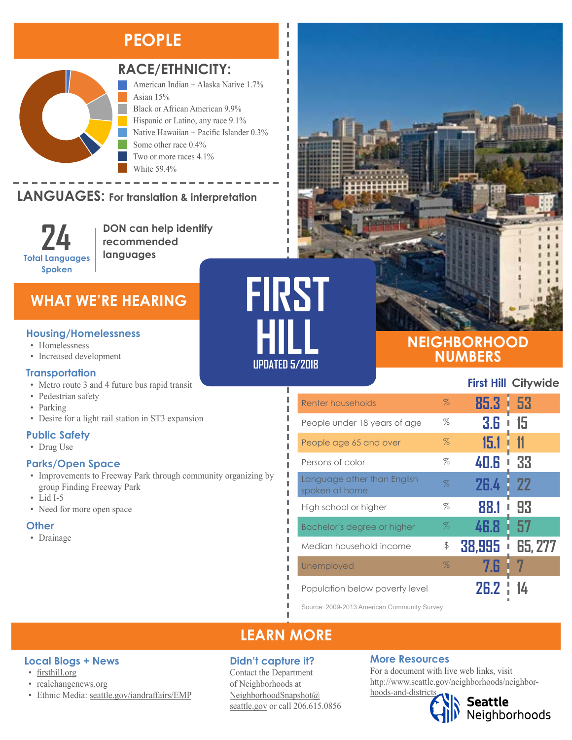# **PEOPLE**



### **RACE/ETHNICITY:**

American Indian + Alaska Native 1.7% Asian 15% Black or African American 9.9% Hispanic or Latino, any race 9.1%

Native Hawaiian + Pacific Islander 0.3% Some other race 0.4% Two or more races 4.1% White 59 4%

#### **LANGUAGES:** For translation & interpretation TANGUAG

**24 Total Languages Spoken**

Black or African American Hispanic or Latino, any race

**DON can help identify recommended languages**

# **WHAT WE'RE HEARING**

- Homelessness
- Increased development

#### **Transportation**

- Metro route 3 and 4 future bus rapid transit
- Pedestrian safety
- Parking
- Desire for a light rail station in ST3 expansion

#### **Public Safety**

• Drug Use

#### **Parks/Open Space**

- Improvements to Freeway Park through community organizing by group Finding Freeway Park
- Lid I-5
- Need for more open space

#### **Other**

• Drainage



л I I л л

п Ï Ï

Л л п

п Л

### **NEIGHBORHOOD NUMBERS**

#### **First Hill Citywide**

| Renter households                             | $\%$ | $85.3^{\circ}$ | -53<br>I  |
|-----------------------------------------------|------|----------------|-----------|
| People under 18 years of age                  | %    | 3.6            | 15        |
| People age 65 and over                        | $\%$ | 15.1           | 11        |
| Persons of color                              | %    | 40.6           | 33<br>ı   |
| Language other than English<br>spoken at home | $\%$ | <b>26.4</b>    | <b>22</b> |
| High school or higher                         | %    | 88.1           | 93        |
| Bachelor's degree or higher                   | $\%$ | 46.8           | 57        |
| Median household income                       | \$   | 38,995         | 65, 277   |
| Unemployed                                    | $\%$ | 7.G            |           |
| Population below poverty level                |      | 26.2           |           |

Source: 2009-2013 American Community Survey

# **LEARN MORE**

#### **Didn't capture it?**

Contact the Department of Neighborhoods at [NeighborhoodSnapshot@](mailto:NeighborhoodSnapshot%40%0Aseattle.gov?subject=) [seattle.gov](mailto:NeighborhoodSnapshot%40%0Aseattle.gov?subject=) or call 206.615.0856

#### **More Resources**

For a document with live web links, visit [http://www.seattle.gov/neighborhoods/neighbor](http://www.seattle.gov/neighborhoods/neighborhoods-and-districts)[hoods-and-districts](http://www.seattle.gov/neighborhoods/neighborhoods-and-districts)



Seattle<br>Neighborhoods

### **Local Blogs + News**

- [firsthill.org](https://firsthill.org/)
- [realchangenews.org](http://realchangenews.org/)
- Ethnic Media: [seattle.gov/iandraffairs/EMP](http://www.seattle.gov/iandraffairs/EMP)